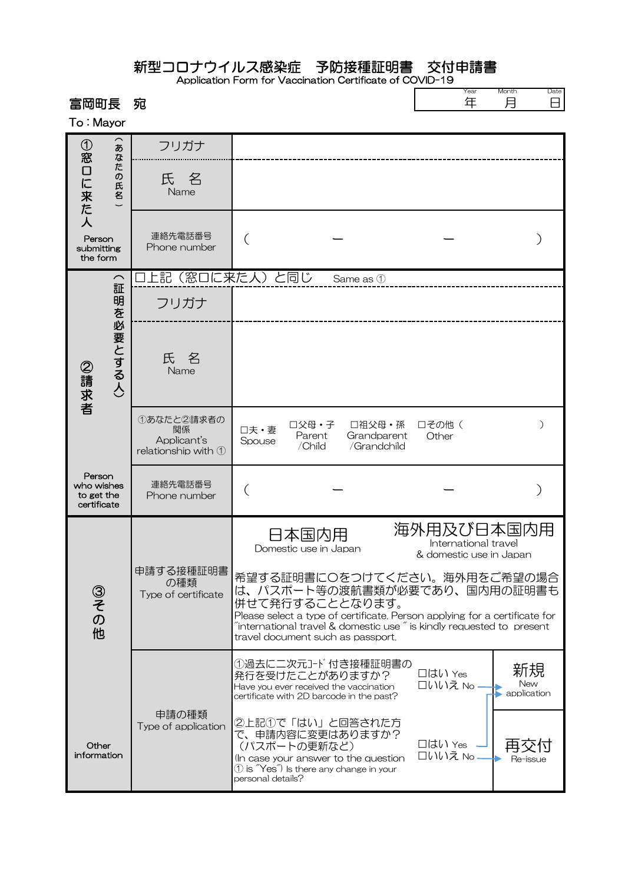## 新型コロナウイルス感染症 予防接種証明書 交付申請書

Application Form for Vaccination Certificate of COVID-19

| 富岡町長<br>To: Mayor                                         | 宛                                                                       |                                                                                                                                                                                                                                                                                                  | Year<br>年                                                     | Month<br>Date<br>8<br>月  |
|-----------------------------------------------------------|-------------------------------------------------------------------------|--------------------------------------------------------------------------------------------------------------------------------------------------------------------------------------------------------------------------------------------------------------------------------------------------|---------------------------------------------------------------|--------------------------|
| ①窓口に来た人<br>あ<br>なたの氏名<br>Person<br>submitting<br>the form | フリガナ                                                                    |                                                                                                                                                                                                                                                                                                  |                                                               |                          |
|                                                           | 一名<br>氏<br>Name                                                         |                                                                                                                                                                                                                                                                                                  |                                                               |                          |
|                                                           | 連絡先電話番号<br>Phone number                                                 |                                                                                                                                                                                                                                                                                                  |                                                               |                          |
| $\widehat{\phantom{m}}$<br>証                              | 上記(窓口に来た人)と同じ                                                           | Same as 1                                                                                                                                                                                                                                                                                        |                                                               |                          |
| 明を必要とする人)<br>②請求者                                         | フリガナ                                                                    |                                                                                                                                                                                                                                                                                                  |                                                               |                          |
|                                                           | 氏名<br>Name                                                              |                                                                                                                                                                                                                                                                                                  |                                                               |                          |
|                                                           | 1あなたと2請求者の<br>関係<br>Applicant's<br>relationship with $\mathbb O$        | 口父母・子<br>口祖父母·孫<br>口夫·妻<br>Grandparent<br>Parent<br>Spouse<br>/Child<br>/Grandchild                                                                                                                                                                                                              | 口その他(<br>Other                                                |                          |
| Person<br>who wishes<br>to get the<br>certificate         | 連絡先電話番号<br>Phone number                                                 | (                                                                                                                                                                                                                                                                                                |                                                               |                          |
|                                                           | 申請する接種証明書<br>の種類<br>Type of certificate<br>申請の種類<br>Type of application | 日本国内用<br>Domestic use in Japan                                                                                                                                                                                                                                                                   | 海外用及び日本国内用<br>International travel<br>& domestic use in Japan |                          |
| ③その他                                                      |                                                                         | 希望する証明書に〇をつけてください。海外用をご希望の場合<br>は、パスポート等の渡航書類が必要であり、国内用の証明書も<br>併せて発行することとなります。<br>Please select a type of certificate. Person applying for a certificate for<br>$\tilde{a}$ international travel & domestic use $\tilde{a}$ is kindly requested to present<br>travel document such as passport. |                                                               |                          |
|                                                           |                                                                         | ①過去に二次元コード付き接種証明書の<br>発行を受けたことがありますか?<br>Have you ever received the vaccination<br>certificate with 2D barcode in the past?                                                                                                                                                                      | □はい Yes<br>□いいえ No -                                          | 新規<br>New<br>application |
| Other<br>information                                      |                                                                         | ②上記①で「はい」と回答された方<br>で、申請内容に変更はありますか?<br>(パスポートの更新など)<br>(In case your answer to the question<br>1 is "Yes") Is there any change in your<br>personal details?                                                                                                                                     | □はい Yes<br>口いいえ No                                            | Re-issue                 |